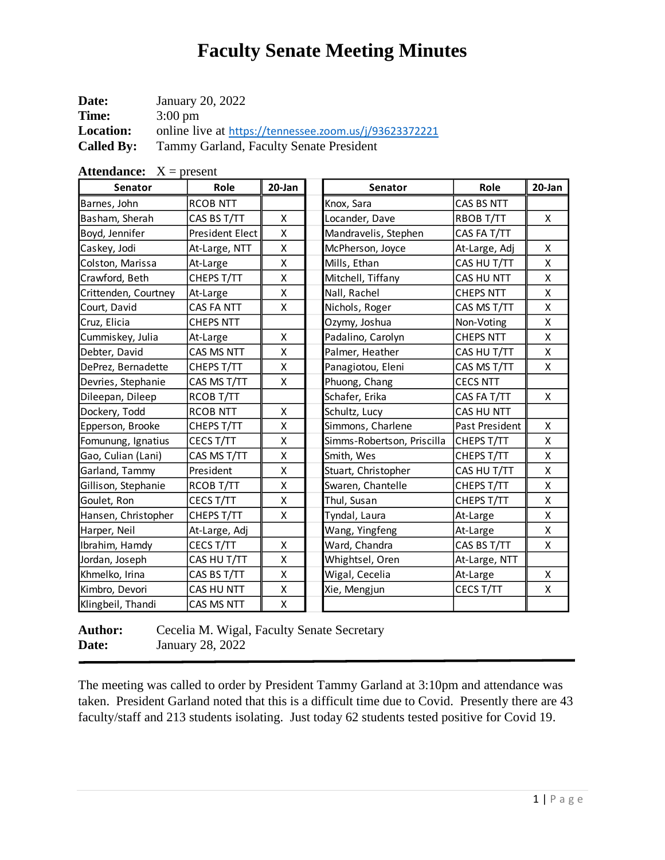| Date:             | January 20, 2022                                       |
|-------------------|--------------------------------------------------------|
| Time:             | $3:00 \text{ pm}$                                      |
| <b>Location:</b>  | online live at https://tennessee.zoom.us/j/93623372221 |
| <b>Called By:</b> | Tammy Garland, Faculty Senate President                |

| Senator              | Role             | 20-Jan | Senator                    | Role             | 20-Jan |
|----------------------|------------------|--------|----------------------------|------------------|--------|
| Barnes, John         | <b>RCOB NTT</b>  |        | Knox, Sara                 | CAS BS NTT       |        |
| Basham, Sherah       | CAS BS T/TT      | X      | Locander, Dave             | RBOB T/TT        | X      |
| Boyd, Jennifer       | President Elect  | X      | Mandravelis, Stephen       | CAS FA T/TT      |        |
| Caskey, Jodi         | At-Large, NTT    | Χ      | McPherson, Joyce           | At-Large, Adj    | Χ      |
| Colston, Marissa     | At-Large         | Χ      | Mills, Ethan               | CAS HU T/TT      | Χ      |
| Crawford, Beth       | CHEPS T/TT       | Χ      | Mitchell, Tiffany          | CAS HU NTT       | Χ      |
| Crittenden, Courtney | At-Large         | X      | Nall, Rachel               | <b>CHEPS NTT</b> | Χ      |
| Court, David         | CAS FA NTT       | Χ      | Nichols, Roger             | CAS MS T/TT      | Χ      |
| Cruz, Elicia         | <b>CHEPS NTT</b> |        | Ozymy, Joshua              | Non-Voting       | Χ      |
| Cummiskey, Julia     | At-Large         | Χ      | Padalino, Carolyn          | <b>CHEPS NTT</b> | X      |
| Debter, David        | CAS MS NTT       | Χ      | Palmer, Heather            | CAS HU T/TT      | x      |
| DePrez, Bernadette   | CHEPS T/TT       | Χ      | Panagiotou, Eleni          | CAS MS T/TT      | Χ      |
| Devries, Stephanie   | CAS MS T/TT      | X      | Phuong, Chang              | <b>CECS NTT</b>  |        |
| Dileepan, Dileep     | RCOB T/TT        |        | Schafer, Erika             | CAS FA T/TT      | X      |
| Dockery, Todd        | <b>RCOB NTT</b>  | X      | Schultz, Lucy              | CAS HU NTT       |        |
| Epperson, Brooke     | CHEPS T/TT       | Χ      | Simmons, Charlene          | Past President   | Χ      |
| Fomunung, Ignatius   | CECS T/TT        | X      | Simms-Robertson, Priscilla | CHEPS T/TT       | X      |
| Gao, Culian (Lani)   | CAS MS T/TT      | Χ      | Smith, Wes                 | CHEPS T/TT       | Χ      |
| Garland, Tammy       | President        | X      | Stuart, Christopher        | CAS HU T/TT      | X      |
| Gillison, Stephanie  | RCOB T/TT        | Χ      | Swaren, Chantelle          | CHEPS T/TT       | x      |
| Goulet, Ron          | CECS T/TT        | Χ      | Thul, Susan                | CHEPS T/TT       | X      |
| Hansen, Christopher  | CHEPS T/TT       | X      | Tyndal, Laura              | At-Large         | Χ      |
| Harper, Neil         | At-Large, Adj    |        | Wang, Yingfeng             | At-Large         | Χ      |
| Ibrahim, Hamdy       | CECS T/TT        | X      | Ward, Chandra              | CAS BS T/TT      | Χ      |
| Jordan, Joseph       | CAS HU T/TT      | Χ      | Whightsel, Oren            | At-Large, NTT    |        |
| Khmelko, Irina       | CAS BS T/TT      | Χ      | Wigal, Cecelia             | At-Large         | X      |
| Kimbro, Devori       | CAS HU NTT       | Χ      | Xie, Mengjun               | CECS T/TT        | Χ      |
| Klingbeil, Thandi    | CAS MS NTT       | X      |                            |                  |        |

**Attendance:**  $X = present$ 

Author: Cecelia M. Wigal, Faculty Senate Secretary **Date:** January 28, 2022

The meeting was called to order by President Tammy Garland at 3:10pm and attendance was taken. President Garland noted that this is a difficult time due to Covid. Presently there are 43 faculty/staff and 213 students isolating. Just today 62 students tested positive for Covid 19.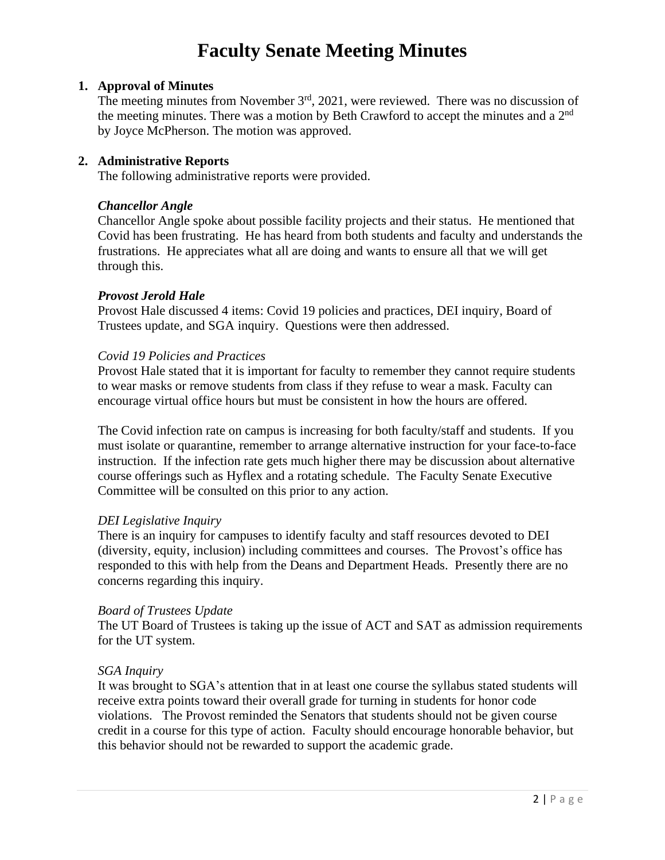### **1. Approval of Minutes**

The meeting minutes from November  $3<sup>rd</sup>$ , 2021, were reviewed. There was no discussion of the meeting minutes. There was a motion by Beth Crawford to accept the minutes and a  $2<sup>nd</sup>$ by Joyce McPherson. The motion was approved.

### **2. Administrative Reports**

The following administrative reports were provided.

#### *Chancellor Angle*

Chancellor Angle spoke about possible facility projects and their status. He mentioned that Covid has been frustrating. He has heard from both students and faculty and understands the frustrations. He appreciates what all are doing and wants to ensure all that we will get through this.

### *Provost Jerold Hale*

Provost Hale discussed 4 items: Covid 19 policies and practices, DEI inquiry, Board of Trustees update, and SGA inquiry. Questions were then addressed.

### *Covid 19 Policies and Practices*

Provost Hale stated that it is important for faculty to remember they cannot require students to wear masks or remove students from class if they refuse to wear a mask. Faculty can encourage virtual office hours but must be consistent in how the hours are offered.

The Covid infection rate on campus is increasing for both faculty/staff and students. If you must isolate or quarantine, remember to arrange alternative instruction for your face-to-face instruction. If the infection rate gets much higher there may be discussion about alternative course offerings such as Hyflex and a rotating schedule. The Faculty Senate Executive Committee will be consulted on this prior to any action.

#### *DEI Legislative Inquiry*

There is an inquiry for campuses to identify faculty and staff resources devoted to DEI (diversity, equity, inclusion) including committees and courses. The Provost's office has responded to this with help from the Deans and Department Heads. Presently there are no concerns regarding this inquiry.

#### *Board of Trustees Update*

The UT Board of Trustees is taking up the issue of ACT and SAT as admission requirements for the UT system.

#### *SGA Inquiry*

It was brought to SGA's attention that in at least one course the syllabus stated students will receive extra points toward their overall grade for turning in students for honor code violations. The Provost reminded the Senators that students should not be given course credit in a course for this type of action. Faculty should encourage honorable behavior, but this behavior should not be rewarded to support the academic grade.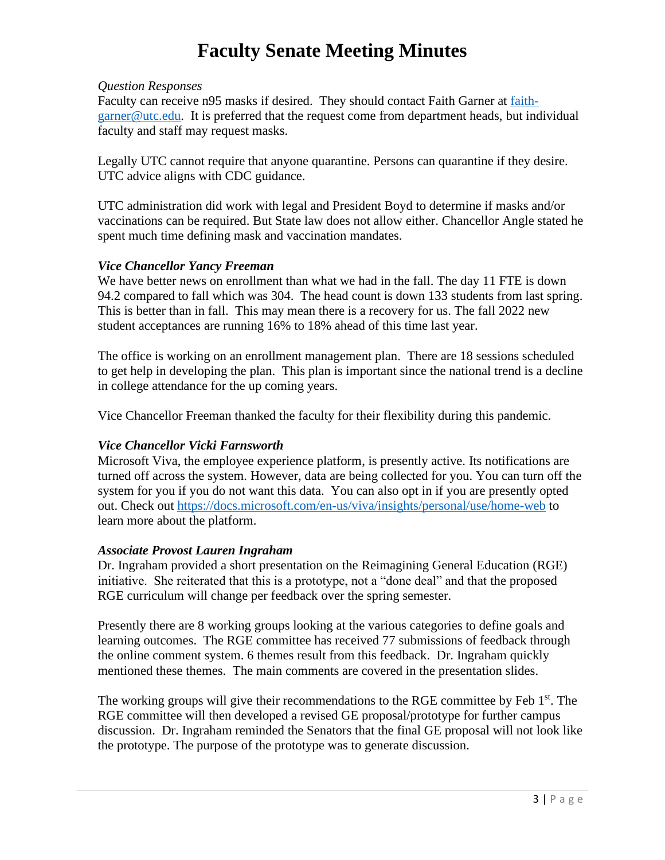#### *Question Responses*

Faculty can receive n95 masks if desired. They should contact Faith Garner at [faith](mailto:faith-garner@utc.edu)[garner@utc.edu.](mailto:faith-garner@utc.edu) It is preferred that the request come from department heads, but individual faculty and staff may request masks.

Legally UTC cannot require that anyone quarantine. Persons can quarantine if they desire. UTC advice aligns with CDC guidance.

UTC administration did work with legal and President Boyd to determine if masks and/or vaccinations can be required. But State law does not allow either. Chancellor Angle stated he spent much time defining mask and vaccination mandates.

### *Vice Chancellor Yancy Freeman*

We have better news on enrollment than what we had in the fall. The day 11 FTE is down 94.2 compared to fall which was 304. The head count is down 133 students from last spring. This is better than in fall. This may mean there is a recovery for us. The fall 2022 new student acceptances are running 16% to 18% ahead of this time last year.

The office is working on an enrollment management plan. There are 18 sessions scheduled to get help in developing the plan. This plan is important since the national trend is a decline in college attendance for the up coming years.

Vice Chancellor Freeman thanked the faculty for their flexibility during this pandemic.

### *Vice Chancellor Vicki Farnsworth*

Microsoft Viva, the employee experience platform, is presently active. Its notifications are turned off across the system. However, data are being collected for you. You can turn off the system for you if you do not want this data. You can also opt in if you are presently opted out. Check out <https://docs.microsoft.com/en-us/viva/insights/personal/use/home-web> to learn more about the platform.

#### *Associate Provost Lauren Ingraham*

Dr. Ingraham provided a short presentation on the Reimagining General Education (RGE) initiative. She reiterated that this is a prototype, not a "done deal" and that the proposed RGE curriculum will change per feedback over the spring semester.

Presently there are 8 working groups looking at the various categories to define goals and learning outcomes. The RGE committee has received 77 submissions of feedback through the online comment system. 6 themes result from this feedback. Dr. Ingraham quickly mentioned these themes. The main comments are covered in the presentation slides.

The working groups will give their recommendations to the RGE committee by Feb  $1<sup>st</sup>$ . The RGE committee will then developed a revised GE proposal/prototype for further campus discussion. Dr. Ingraham reminded the Senators that the final GE proposal will not look like the prototype. The purpose of the prototype was to generate discussion.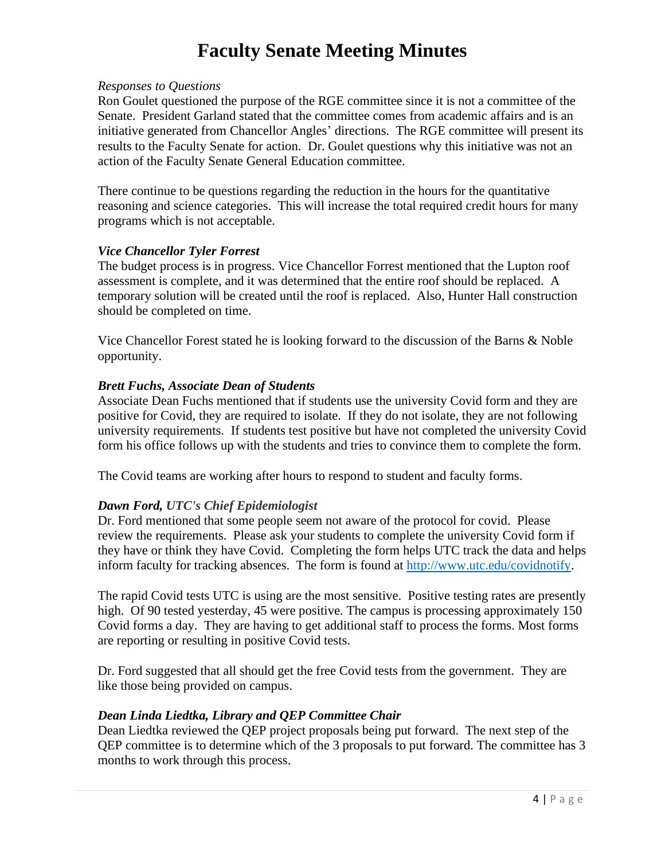#### *Responses to Questions*

Ron Goulet questioned the purpose of the RGE committee since it is not a committee of the Senate. President Garland stated that the committee comes from academic affairs and is an initiative generated from Chancellor Angles' directions. The RGE committee will present its results to the Faculty Senate for action. Dr. Goulet questions why this initiative was not an action of the Faculty Senate General Education committee.

There continue to be questions regarding the reduction in the hours for the quantitative reasoning and science categories. This will increase the total required credit hours for many programs which is not acceptable.

#### *Vice Chancellor Tyler Forrest*

The budget process is in progress. Vice Chancellor Forrest mentioned that the Lupton roof assessment is complete, and it was determined that the entire roof should be replaced. A temporary solution will be created until the roof is replaced. Also, Hunter Hall construction should be completed on time.

Vice Chancellor Forest stated he is looking forward to the discussion of the Barns & Noble opportunity.

#### *Brett Fuchs, Associate Dean of Students*

Associate Dean Fuchs mentioned that if students use the university Covid form and they are positive for Covid, they are required to isolate. If they do not isolate, they are not following university requirements. If students test positive but have not completed the university Covid form his office follows up with the students and tries to convince them to complete the form.

The Covid teams are working after hours to respond to student and faculty forms.

#### *Dawn Ford, UTC's Chief Epidemiologist*

Dr. Ford mentioned that some people seem not aware of the protocol for covid. Please review the requirements. Please ask your students to complete the university Covid form if they have or think they have Covid. Completing the form helps UTC track the data and helps inform faculty for tracking absences. The form is found at [http://www.utc.edu/covidnotify.](http://www.utc.edu/covidnotify)

The rapid Covid tests UTC is using are the most sensitive. Positive testing rates are presently high. Of 90 tested yesterday, 45 were positive. The campus is processing approximately 150 Covid forms a day. They are having to get additional staff to process the forms. Most forms are reporting or resulting in positive Covid tests.

Dr. Ford suggested that all should get the free Covid tests from the government. They are like those being provided on campus.

#### *Dean Linda Liedtka, Library and QEP Committee Chair*

Dean Liedtka reviewed the QEP project proposals being put forward. The next step of the QEP committee is to determine which of the 3 proposals to put forward. The committee has 3 months to work through this process.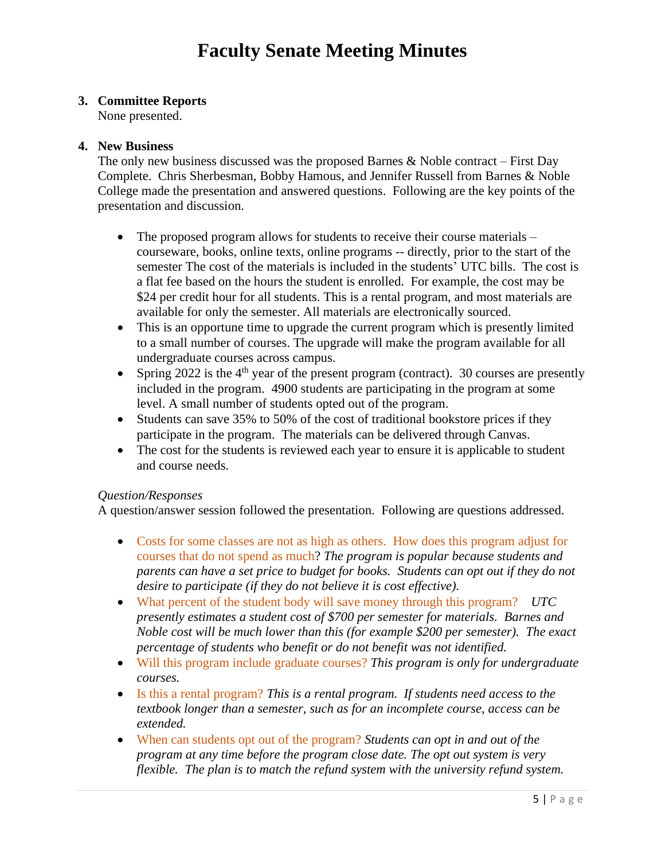### **3. Committee Reports**

None presented.

#### **4. New Business**

The only new business discussed was the proposed Barnes  $\&$  Noble contract – First Day Complete. Chris Sherbesman, Bobby Hamous, and Jennifer Russell from Barnes & Noble College made the presentation and answered questions. Following are the key points of the presentation and discussion.

- The proposed program allows for students to receive their course materials courseware, books, online texts, online programs -- directly, prior to the start of the semester The cost of the materials is included in the students' UTC bills. The cost is a flat fee based on the hours the student is enrolled. For example, the cost may be \$24 per credit hour for all students. This is a rental program, and most materials are available for only the semester. All materials are electronically sourced.
- This is an opportune time to upgrade the current program which is presently limited to a small number of courses. The upgrade will make the program available for all undergraduate courses across campus.
- Spring 2022 is the  $4<sup>th</sup>$  year of the present program (contract). 30 courses are presently included in the program. 4900 students are participating in the program at some level. A small number of students opted out of the program.
- Students can save 35% to 50% of the cost of traditional bookstore prices if they participate in the program. The materials can be delivered through Canvas.
- The cost for the students is reviewed each year to ensure it is applicable to student and course needs.

#### *Question/Responses*

A question/answer session followed the presentation. Following are questions addressed.

- Costs for some classes are not as high as others. How does this program adjust for courses that do not spend as much? *The program is popular because students and parents can have a set price to budget for books. Students can opt out if they do not desire to participate (if they do not believe it is cost effective).*
- What percent of the student body will save money through this program? *UTC presently estimates a student cost of \$700 per semester for materials. Barnes and Noble cost will be much lower than this (for example \$200 per semester). The exact percentage of students who benefit or do not benefit was not identified.*
- Will this program include graduate courses? *This program is only for undergraduate courses.*
- Is this a rental program? *This is a rental program. If students need access to the textbook longer than a semester, such as for an incomplete course, access can be extended.*
- When can students opt out of the program? *Students can opt in and out of the program at any time before the program close date. The opt out system is very flexible. The plan is to match the refund system with the university refund system.*